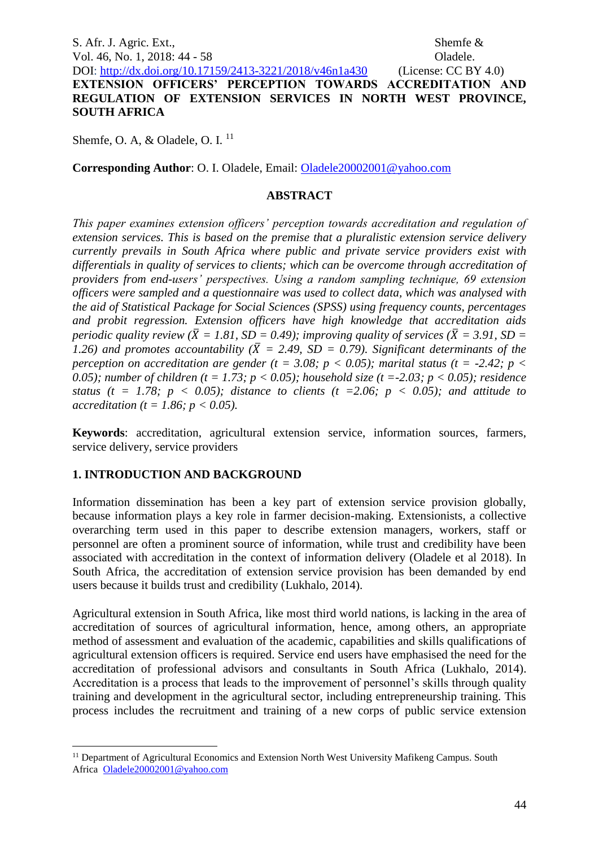S. Afr. J. Agric. Ext., Shemfe & Vol. 46, No. 1, 2018: 44 - 58 Oladele. DOI:<http://dx.doi.org/10.17159/2413-3221/2018/v46n1a430> (License: CC BY 4.0) **EXTENSION OFFICERS' PERCEPTION TOWARDS ACCREDITATION AND REGULATION OF EXTENSION SERVICES IN NORTH WEST PROVINCE, SOUTH AFRICA**

Shemfe, O. A, & Oladele, O. I.<sup>11</sup>

**Corresponding Author**: O. I. Oladele, Email: [Oladele20002001@yahoo.com](mailto:Oladele20002001@yahoo.com)

#### **ABSTRACT**

*This paper examines extension officers' perception towards accreditation and regulation of extension services. This is based on the premise that a pluralistic extension service delivery currently prevails in South Africa where public and private service providers exist with differentials in quality of services to clients; which can be overcome through accreditation of providers from end-users' perspectives. Using a random sampling technique, 69 extension officers were sampled and a questionnaire was used to collect data, which was analysed with the aid of Statistical Package for Social Sciences (SPSS) using frequency counts, percentages and probit regression. Extension officers have high knowledge that accreditation aids periodic quality review (* $\bar{X} = 1.81$ *, SD = 0.49); improving quality of services (* $\bar{X} = 3.91$ *, SD =*  $\bar{X} = 3.91$ *)* 1.26) and promotes accountability ( $\bar{X} = 2.49$ , SD = 0.79). Significant determinants of the *perception on accreditation are gender (t = 3.08; p < 0.05); marital status (t = -2.42; p <*  $\theta$ *0.05); number of children (t = 1.73; p < 0.05); household size (t =-2.03; p < 0.05); residence status (t = 1.78; p < 0.05); distance to clients (t = 2.06; p < 0.05); and attitude to accreditation (t = 1.86; p < 0.05).* 

**Keywords**: accreditation, agricultural extension service, information sources, farmers, service delivery, service providers

### **1. INTRODUCTION AND BACKGROUND**

<u>.</u>

Information dissemination has been a key part of extension service provision globally, because information plays a key role in farmer decision-making. Extensionists, a collective overarching term used in this paper to describe extension managers, workers, staff or personnel are often a prominent source of information, while trust and credibility have been associated with accreditation in the context of information delivery (Oladele et al 2018). In South Africa, the accreditation of extension service provision has been demanded by end users because it builds trust and credibility (Lukhalo, 2014).

Agricultural extension in South Africa, like most third world nations, is lacking in the area of accreditation of sources of agricultural information, hence, among others, an appropriate method of assessment and evaluation of the academic, capabilities and skills qualifications of agricultural extension officers is required. Service end users have emphasised the need for the accreditation of professional advisors and consultants in South Africa (Lukhalo, 2014). Accreditation is a process that leads to the improvement of personnel's skills through quality training and development in the agricultural sector, including entrepreneurship training. This process includes the recruitment and training of a new corps of public service extension

<sup>&</sup>lt;sup>11</sup> Department of Agricultural Economics and Extension North West University Mafikeng Campus. South Africa [Oladele20002001@yahoo.com](mailto:Oladele20002001@yahoo.com)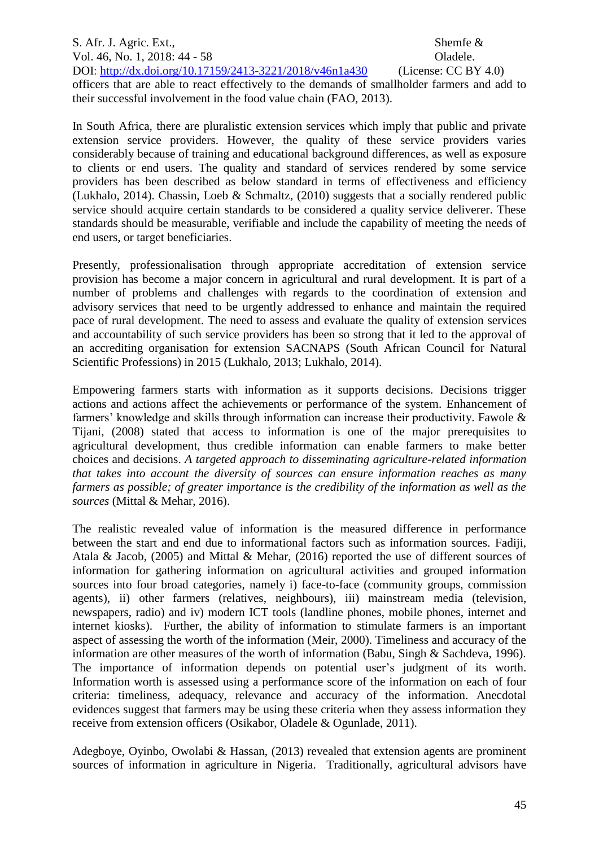S. Afr. J. Agric. Ext., Shemfe & Vol. 46, No. 1, 2018: 44 - 58 Oladele. DOI:<http://dx.doi.org/10.17159/2413-3221/2018/v46n1a430> (License: CC BY 4.0) officers that are able to react effectively to the demands of smallholder farmers and add to their successful involvement in the food value chain (FAO, 2013).

In South Africa, there are pluralistic extension services which imply that public and private extension service providers. However, the quality of these service providers varies considerably because of training and educational background differences, as well as exposure to clients or end users. The quality and standard of services rendered by some service providers has been described as below standard in terms of effectiveness and efficiency (Lukhalo, 2014). Chassin, Loeb & Schmaltz, (2010) suggests that a socially rendered public service should acquire certain standards to be considered a quality service deliverer. These standards should be measurable, verifiable and include the capability of meeting the needs of end users, or target beneficiaries.

Presently, professionalisation through appropriate accreditation of extension service provision has become a major concern in agricultural and rural development. It is part of a number of problems and challenges with regards to the coordination of extension and advisory services that need to be urgently addressed to enhance and maintain the required pace of rural development. The need to assess and evaluate the quality of extension services and accountability of such service providers has been so strong that it led to the approval of an accrediting organisation for extension SACNAPS (South African Council for Natural Scientific Professions) in 2015 (Lukhalo, 2013; Lukhalo, 2014).

Empowering farmers starts with information as it supports decisions. Decisions trigger actions and actions affect the achievements or performance of the system. Enhancement of farmers' knowledge and skills through information can increase their productivity. Fawole & Tijani, (2008) stated that access to information is one of the major prerequisites to agricultural development, thus credible information can enable farmers to make better choices and decisions. *A targeted approach to disseminating agriculture-related information that takes into account the diversity of sources can ensure information reaches as many farmers as possible; of greater importance is the credibility of the information as well as the sources* (Mittal & Mehar, 2016).

The realistic revealed value of information is the measured difference in performance between the start and end due to informational factors such as information sources. Fadiji, Atala & Jacob, (2005) and Mittal & Mehar, (2016) reported the use of different sources of information for gathering information on agricultural activities and grouped information sources into four broad categories, namely i) face-to-face (community groups, commission agents), ii) other farmers (relatives, neighbours), iii) mainstream media (television, newspapers, radio) and iv) modern ICT tools (landline phones, mobile phones, internet and internet kiosks). Further, the ability of information to stimulate farmers is an important aspect of assessing the worth of the information (Meir, 2000). Timeliness and accuracy of the information are other measures of the worth of information (Babu, Singh & Sachdeva, 1996). The importance of information depends on potential user's judgment of its worth. Information worth is assessed using a performance score of the information on each of four criteria: timeliness, adequacy, relevance and accuracy of the information. Anecdotal evidences suggest that farmers may be using these criteria when they assess information they receive from extension officers (Osikabor, Oladele & Ogunlade, 2011).

Adegboye, Oyinbo, Owolabi & Hassan, (2013) revealed that extension agents are prominent sources of information in agriculture in Nigeria. Traditionally, agricultural advisors have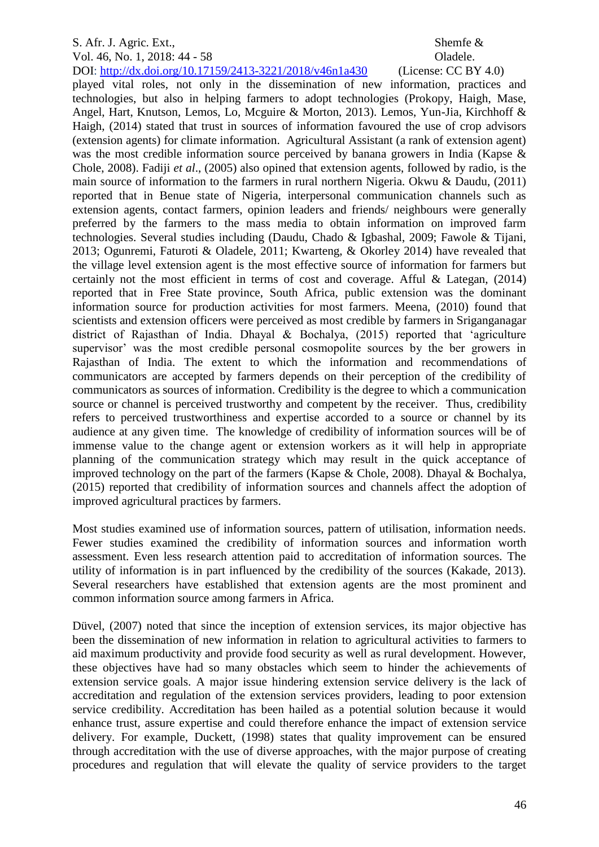# Vol. 46, No. 1, 2018: 44 - 58 Oladele.

DOI:<http://dx.doi.org/10.17159/2413-3221/2018/v46n1a430> (License: CC BY 4.0)

played vital roles, not only in the dissemination of new information, practices and technologies, but also in helping farmers to adopt technologies (Prokopy, Haigh, Mase, Angel, Hart, Knutson, Lemos, Lo, Mcguire & Morton, 2013). Lemos, Yun-Jia, Kirchhoff & Haigh, (2014) stated that trust in sources of information favoured the use of crop advisors (extension agents) for climate information. Agricultural Assistant (a rank of extension agent) was the most credible information source perceived by banana growers in India (Kapse & Chole, 2008). Fadiji *et al*., (2005) also opined that extension agents, followed by radio, is the main source of information to the farmers in rural northern Nigeria. Okwu & Daudu, (2011) reported that in Benue state of Nigeria, interpersonal communication channels such as extension agents, contact farmers, opinion leaders and friends/ neighbours were generally preferred by the farmers to the mass media to obtain information on improved farm technologies. Several studies including (Daudu, Chado & Igbashal, 2009; Fawole & Tijani, 2013; Ogunremi, Faturoti & Oladele, 2011; Kwarteng, & Okorley 2014) have revealed that the village level extension agent is the most effective source of information for farmers but certainly not the most efficient in terms of cost and coverage. Afful & Lategan, (2014) reported that in Free State province, South Africa, public extension was the dominant information source for production activities for most farmers. Meena, (2010) found that scientists and extension officers were perceived as most credible by farmers in Sriganganagar district of Rajasthan of India. Dhayal & Bochalya, (2015) reported that 'agriculture supervisor' was the most credible personal cosmopolite sources by the ber growers in Rajasthan of India. The extent to which the information and recommendations of communicators are accepted by farmers depends on their perception of the credibility of communicators as sources of information. Credibility is the degree to which a communication source or channel is perceived trustworthy and competent by the receiver. Thus, credibility refers to perceived trustworthiness and expertise accorded to a source or channel by its audience at any given time. The knowledge of credibility of information sources will be of immense value to the change agent or extension workers as it will help in appropriate planning of the communication strategy which may result in the quick acceptance of improved technology on the part of the farmers (Kapse & Chole, 2008). Dhayal & Bochalya, (2015) reported that credibility of information sources and channels affect the adoption of improved agricultural practices by farmers.

Most studies examined use of information sources, pattern of utilisation, information needs. Fewer studies examined the credibility of information sources and information worth assessment. Even less research attention paid to accreditation of information sources. The utility of information is in part influenced by the credibility of the sources (Kakade, 2013). Several researchers have established that extension agents are the most prominent and common information source among farmers in Africa.

Düvel, (2007) noted that since the inception of extension services, its major objective has been the dissemination of new information in relation to agricultural activities to farmers to aid maximum productivity and provide food security as well as rural development. However, these objectives have had so many obstacles which seem to hinder the achievements of extension service goals. A major issue hindering extension service delivery is the lack of accreditation and regulation of the extension services providers, leading to poor extension service credibility. Accreditation has been hailed as a potential solution because it would enhance trust, assure expertise and could therefore enhance the impact of extension service delivery. For example, Duckett, (1998) states that quality improvement can be ensured through accreditation with the use of diverse approaches, with the major purpose of creating procedures and regulation that will elevate the quality of service providers to the target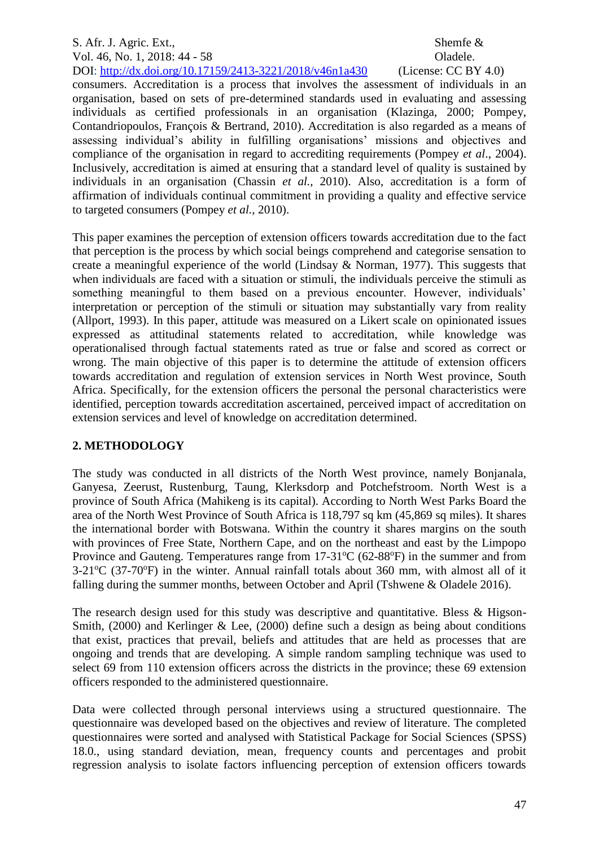## S. Afr. J. Agric. Ext., Shemfe & Vol. 46, No. 1, 2018: 44 - 58 Oladele.

DOI:<http://dx.doi.org/10.17159/2413-3221/2018/v46n1a430> (License: CC BY 4.0) consumers. Accreditation is a process that involves the assessment of individuals in an organisation, based on sets of pre-determined standards used in evaluating and assessing individuals as certified professionals in an organisation (Klazinga, 2000; Pompey, Contandriopoulos, François & Bertrand, 2010). Accreditation is also regarded as a means of assessing individual's ability in fulfilling organisations' missions and objectives and compliance of the organisation in regard to accrediting requirements (Pompey *et al*., 2004). Inclusively, accreditation is aimed at ensuring that a standard level of quality is sustained by individuals in an organisation (Chassin *et al.,* 2010). Also, accreditation is a form of affirmation of individuals continual commitment in providing a quality and effective service to targeted consumers (Pompey *et al.,* 2010).

This paper examines the perception of extension officers towards accreditation due to the fact that perception is the process by which social beings comprehend and categorise sensation to create a meaningful experience of the world (Lindsay & Norman, 1977). This suggests that when individuals are faced with a situation or stimuli, the individuals perceive the stimuli as something meaningful to them based on a previous encounter. However, individuals' interpretation or perception of the stimuli or situation may substantially vary from reality (Allport, 1993). In this paper, attitude was measured on a Likert scale on opinionated issues expressed as attitudinal statements related to accreditation, while knowledge was operationalised through factual statements rated as true or false and scored as correct or wrong. The main objective of this paper is to determine the attitude of extension officers towards accreditation and regulation of extension services in North West province, South Africa. Specifically, for the extension officers the personal the personal characteristics were identified, perception towards accreditation ascertained, perceived impact of accreditation on extension services and level of knowledge on accreditation determined.

## **2. METHODOLOGY**

The study was conducted in all districts of the North West province, namely Bonjanala, Ganyesa, Zeerust, Rustenburg, Taung, Klerksdorp and Potchefstroom. North West is a province of South Africa (Mahikeng is its capital). According to North West Parks Board the area of the North West Province of South Africa is 118,797 sq km (45,869 sq miles). It shares the international border with Botswana. Within the country it shares margins on the south with provinces of Free State, Northern Cape, and on the northeast and east by the Limpopo Province and Gauteng. Temperatures range from  $17-31^{\circ}C$  (62-88 $^{\circ}F$ ) in the summer and from  $3-21^{\circ}C$  (37-70 $^{\circ}F$ ) in the winter. Annual rainfall totals about 360 mm, with almost all of it falling during the summer months, between October and April (Tshwene & Oladele 2016).

The research design used for this study was descriptive and quantitative. Bless & Higson-Smith, (2000) and Kerlinger & Lee, (2000) define such a design as being about conditions that exist, practices that prevail, beliefs and attitudes that are held as processes that are ongoing and trends that are developing. A simple random sampling technique was used to select 69 from 110 extension officers across the districts in the province; these 69 extension officers responded to the administered questionnaire.

Data were collected through personal interviews using a structured questionnaire. The questionnaire was developed based on the objectives and review of literature. The completed questionnaires were sorted and analysed with Statistical Package for Social Sciences (SPSS) 18.0., using standard deviation, mean, frequency counts and percentages and probit regression analysis to isolate factors influencing perception of extension officers towards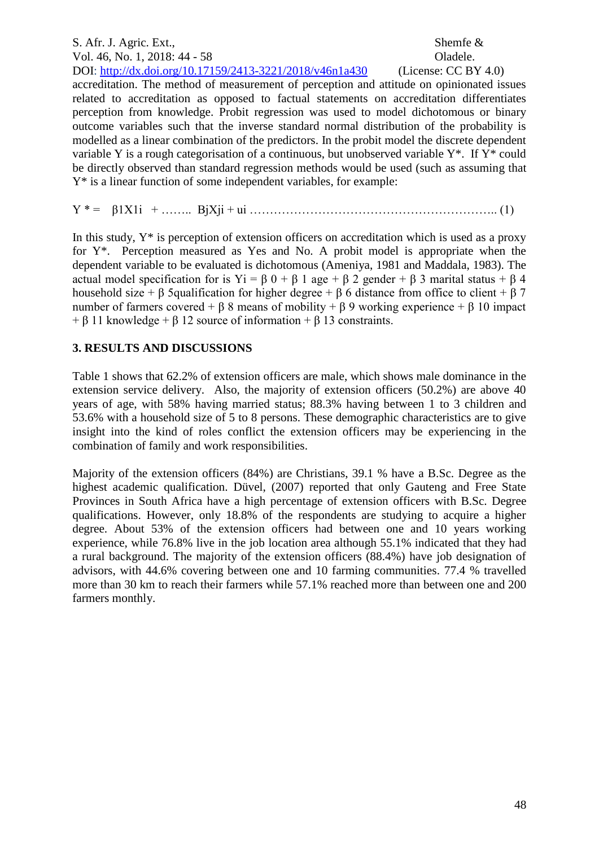# S. Afr. J. Agric. Ext., Shemfe & Vol. 46, No. 1, 2018: 44 - 58 Oladele.

DOI:<http://dx.doi.org/10.17159/2413-3221/2018/v46n1a430> (License: CC BY 4.0) accreditation. The method of measurement of perception and attitude on opinionated issues related to accreditation as opposed to factual statements on accreditation differentiates perception from knowledge. Probit regression was used to model dichotomous or binary outcome variables such that the inverse standard normal distribution of the probability is modelled as a linear combination of the predictors. In the probit model the discrete dependent variable Y is a rough categorisation of a continuous, but unobserved variable  $Y^*$ . If  $Y^*$  could be directly observed than standard regression methods would be used (such as assuming that Y\* is a linear function of some independent variables, for example:

Y \* = β1X1i + …….. ΒjXji + ui …………………………………………………….. (1)

In this study,  $Y^*$  is perception of extension officers on accreditation which is used as a proxy for  $Y^*$ . Perception measured as Yes and No. A probit model is appropriate when the dependent variable to be evaluated is dichotomous (Ameniya, 1981 and Maddala, 1983). The actual model specification for is Yi =  $\beta$  0 +  $\beta$  1 age +  $\beta$  2 gender +  $\beta$  3 marital status +  $\beta$  4 household size +  $\beta$  5qualification for higher degree +  $\beta$  6 distance from office to client +  $\beta$  7 number of farmers covered + β 8 means of mobility + β 9 working experience + β 10 impact  $+$  β 11 knowledge  $+$  β 12 source of information  $+$  β 13 constraints.

## **3. RESULTS AND DISCUSSIONS**

Table 1 shows that 62.2% of extension officers are male, which shows male dominance in the extension service delivery. Also, the majority of extension officers (50.2%) are above 40 years of age, with 58% having married status; 88.3% having between 1 to 3 children and 53.6% with a household size of 5 to 8 persons. These demographic characteristics are to give insight into the kind of roles conflict the extension officers may be experiencing in the combination of family and work responsibilities.

Majority of the extension officers (84%) are Christians, 39.1 % have a B.Sc. Degree as the highest academic qualification. Düvel, (2007) reported that only Gauteng and Free State Provinces in South Africa have a high percentage of extension officers with B.Sc. Degree qualifications. However, only 18.8% of the respondents are studying to acquire a higher degree. About 53% of the extension officers had between one and 10 years working experience, while 76.8% live in the job location area although 55.1% indicated that they had a rural background. The majority of the extension officers (88.4%) have job designation of advisors, with 44.6% covering between one and 10 farming communities. 77.4 % travelled more than 30 km to reach their farmers while 57.1% reached more than between one and 200 farmers monthly.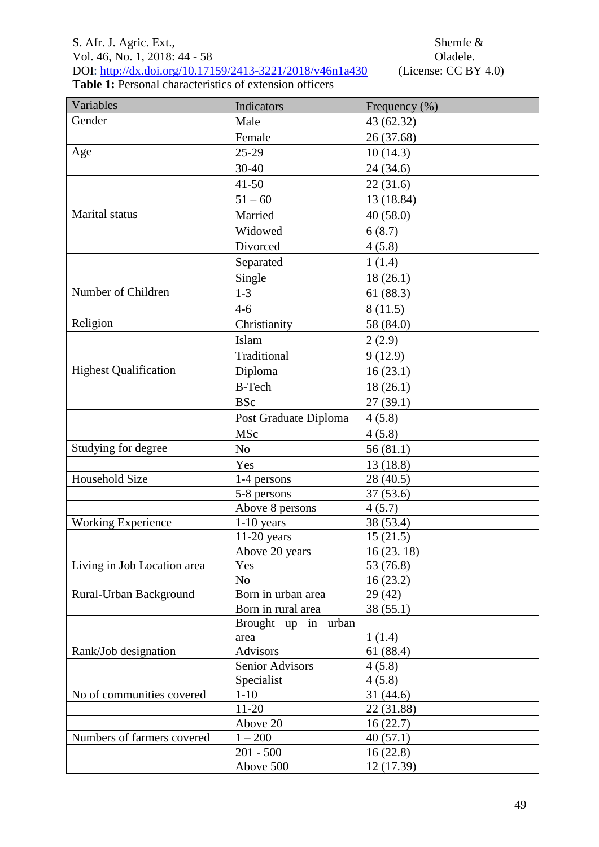# S. Afr. J. Agric. Ext.,<br>
Vol. 46, No. 1, 2018: 44 - 58<br>
Oladele. Vol. 46, No. 1, 2018: 44 - 58<br>DOI: <u>http://dx.doi.org/10.17159/2413-3221/2018/v46n1a430</u> (License: CC BY 4.0) DOI:<http://dx.doi.org/10.17159/2413-3221/2018/v46n1a430> (License: CC BY 4.0)

**Table 1:** Personal characteristics of extension officers

| Variables                    | Indicators              | Frequency (%)      |
|------------------------------|-------------------------|--------------------|
| Gender                       | Male                    | 43 (62.32)         |
|                              | Female                  | 26 (37.68)         |
| Age                          | 25-29                   | 10(14.3)           |
|                              | 30-40                   | 24 (34.6)          |
|                              | $41 - 50$               | 22(31.6)           |
|                              | $51 - 60$               | 13 (18.84)         |
| Marital status               | Married                 | 40(58.0)           |
|                              | Widowed                 | 6(8.7)             |
|                              | Divorced                | 4(5.8)             |
|                              | Separated               | 1(1.4)             |
|                              | Single                  | 18(26.1)           |
| Number of Children           | $1 - 3$                 | 61(88.3)           |
|                              | $4 - 6$                 | 8(11.5)            |
| Religion                     | Christianity            | 58 (84.0)          |
|                              | Islam                   | 2(2.9)             |
|                              | Traditional             | 9(12.9)            |
| <b>Highest Qualification</b> | Diploma                 | 16(23.1)           |
|                              | <b>B-Tech</b>           | 18(26.1)           |
|                              | <b>BSc</b>              | 27(39.1)           |
|                              | Post Graduate Diploma   | 4(5.8)             |
|                              | MSc                     | 4(5.8)             |
| Studying for degree          | No                      | 56(81.1)           |
|                              | Yes                     | 13(18.8)           |
| Household Size               | 1-4 persons             | 28 (40.5)          |
|                              | 5-8 persons             | 37(53.6)           |
|                              | Above 8 persons         | 4(5.7)             |
| <b>Working Experience</b>    | $1-10$ years            | 38 (53.4)          |
|                              | $11-20$ years           | 15(21.5)           |
|                              | Above 20 years          | 16(23.18)          |
| Living in Job Location area  | Yes                     | 53 (76.8)          |
|                              | N <sub>o</sub>          | 16(23.2)           |
| Rural-Urban Background       | Born in urban area      | 29 (42)            |
|                              | Born in rural area      | 38(55.1)           |
|                              | Brought up in urban     |                    |
| Rank/Job designation         | area<br><b>Advisors</b> | 1(1.4)<br>61(88.4) |
|                              | Senior Advisors         | 4(5.8)             |
|                              | Specialist              | 4(5.8)             |
| No of communities covered    | $1 - 10$                | 31(44.6)           |
|                              | $11 - 20$               | 22 (31.88)         |
|                              | Above 20                | 16(22.7)           |
| Numbers of farmers covered   | $1 - 200$               | 40(57.1)           |
|                              | $201 - 500$             | 16(22.8)           |
|                              | Above 500               | 12 (17.39)         |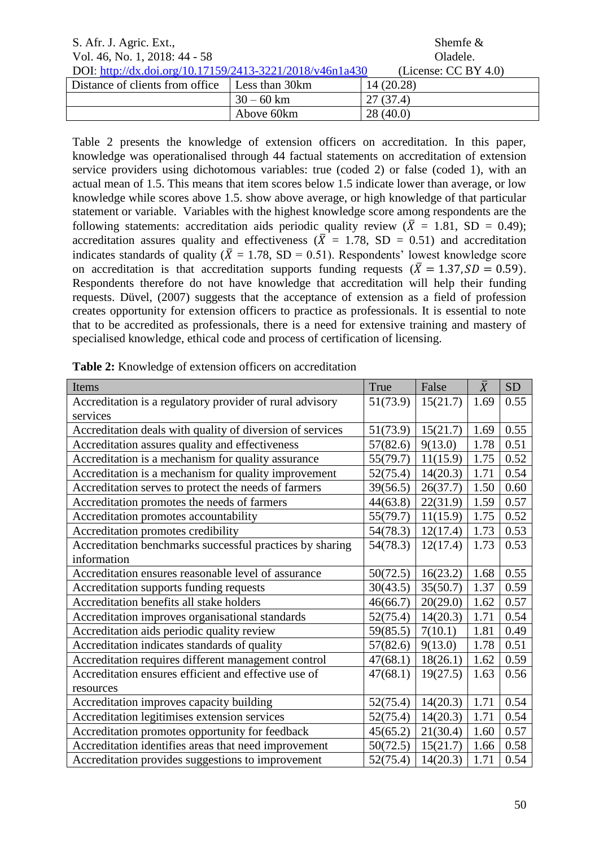| S. Afr. J. Agric. Ext.,                                  |                | Shemfe $\&$             |
|----------------------------------------------------------|----------------|-------------------------|
| Vol. 46, No. 1, 2018: 44 - 58                            |                | Oladele.                |
| DOI: http://dx.doi.org/10.17159/2413-3221/2018/v46n1a430 |                | (License: $CC BY 4.0$ ) |
| Distance of clients from office                          | Less than 30km | 14(20.28)               |
|                                                          | $30 - 60$ km   | 27(37.4)                |
|                                                          | Above 60km     | 28(40.0)                |

Table 2 presents the knowledge of extension officers on accreditation. In this paper, knowledge was operationalised through 44 factual statements on accreditation of extension service providers using dichotomous variables: true (coded 2) or false (coded 1), with an actual mean of 1.5. This means that item scores below 1.5 indicate lower than average, or low knowledge while scores above 1.5. show above average, or high knowledge of that particular statement or variable. Variables with the highest knowledge score among respondents are the following statements: accreditation aids periodic quality review ( $\overline{X} = 1.81$ , SD = 0.49); accreditation assures quality and effectiveness ( $\overline{X} = 1.78$ , SD = 0.51) and accreditation indicates standards of quality ( $\bar{X} = 1.78$ , SD = 0.51). Respondents' lowest knowledge score on accreditation is that accreditation supports funding requests ( $\overline{X} = 1.37$ ,  $SD = 0.59$ ). Respondents therefore do not have knowledge that accreditation will help their funding requests. Düvel, (2007) suggests that the acceptance of extension as a field of profession creates opportunity for extension officers to practice as professionals. It is essential to note that to be accredited as professionals, there is a need for extensive training and mastery of specialised knowledge, ethical code and process of certification of licensing.

| Items                                                     | True     | False    | $\bar{X}$ | <b>SD</b> |
|-----------------------------------------------------------|----------|----------|-----------|-----------|
| Accreditation is a regulatory provider of rural advisory  | 51(73.9) | 15(21.7) | 1.69      | 0.55      |
| services                                                  |          |          |           |           |
| Accreditation deals with quality of diversion of services | 51(73.9) | 15(21.7) | 1.69      | 0.55      |
| Accreditation assures quality and effectiveness           | 57(82.6) | 9(13.0)  | 1.78      | 0.51      |
| Accreditation is a mechanism for quality assurance        | 55(79.7) | 11(15.9) | 1.75      | 0.52      |
| Accreditation is a mechanism for quality improvement      | 52(75.4) | 14(20.3) | 1.71      | 0.54      |
| Accreditation serves to protect the needs of farmers      | 39(56.5) | 26(37.7) | 1.50      | 0.60      |
| Accreditation promotes the needs of farmers               | 44(63.8) | 22(31.9) | 1.59      | 0.57      |
| Accreditation promotes accountability                     | 55(79.7) | 11(15.9) | 1.75      | 0.52      |
| Accreditation promotes credibility                        | 54(78.3) | 12(17.4) | 1.73      | 0.53      |
| Accreditation benchmarks successful practices by sharing  | 54(78.3) | 12(17.4) | 1.73      | 0.53      |
| information                                               |          |          |           |           |
| Accreditation ensures reasonable level of assurance       | 50(72.5) | 16(23.2) | 1.68      | 0.55      |
| Accreditation supports funding requests                   | 30(43.5) | 35(50.7) | 1.37      | 0.59      |
| Accreditation benefits all stake holders                  | 46(66.7) | 20(29.0) | 1.62      | 0.57      |
| Accreditation improves organisational standards           | 52(75.4) | 14(20.3) | 1.71      | 0.54      |
| Accreditation aids periodic quality review                | 59(85.5) | 7(10.1)  | 1.81      | 0.49      |
| Accreditation indicates standards of quality              | 57(82.6) | 9(13.0)  | 1.78      | 0.51      |
| Accreditation requires different management control       | 47(68.1) | 18(26.1) | 1.62      | 0.59      |
| Accreditation ensures efficient and effective use of      | 47(68.1) | 19(27.5) | 1.63      | 0.56      |
| resources                                                 |          |          |           |           |
| Accreditation improves capacity building                  | 52(75.4) | 14(20.3) | 1.71      | 0.54      |
| Accreditation legitimises extension services              | 52(75.4) | 14(20.3) | 1.71      | 0.54      |
| Accreditation promotes opportunity for feedback           | 45(65.2) | 21(30.4) | 1.60      | 0.57      |
| Accreditation identifies areas that need improvement      | 50(72.5) | 15(21.7) | 1.66      | 0.58      |
| Accreditation provides suggestions to improvement         | 52(75.4) | 14(20.3) | 1.71      | 0.54      |

**Table 2:** Knowledge of extension officers on accreditation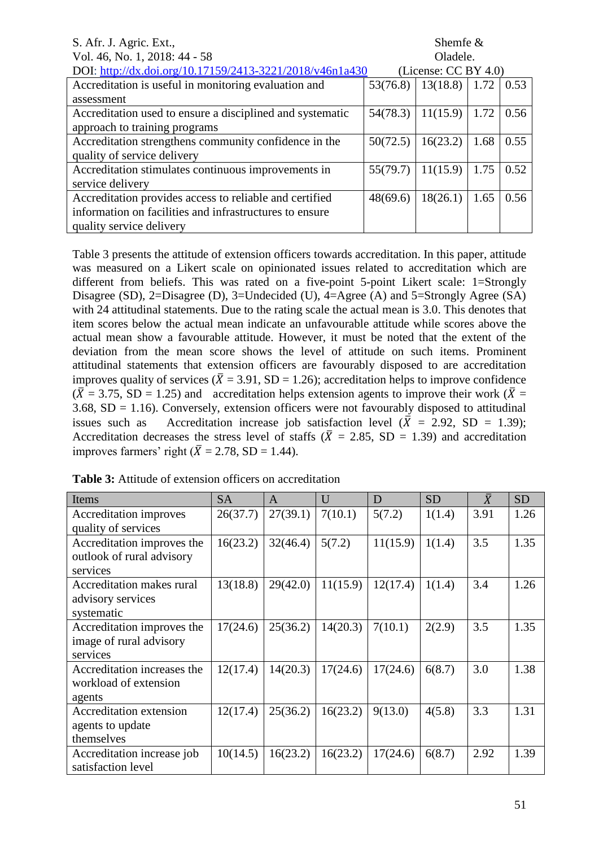| S. Afr. J. Agric. Ext.,                                   | Shemfe $\&$ |                         |      |      |
|-----------------------------------------------------------|-------------|-------------------------|------|------|
| Vol. 46, No. 1, 2018: 44 - 58                             | Oladele.    |                         |      |      |
| DOI: http://dx.doi.org/10.17159/2413-3221/2018/v46n1a430  |             | (License: $CC BY 4.0$ ) |      |      |
| Accreditation is useful in monitoring evaluation and      | 53(76.8)    | 13(18.8)                | 1.72 | 0.53 |
| assessment                                                |             |                         |      |      |
| Accreditation used to ensure a disciplined and systematic | 54(78.3)    | 11(15.9)                | 1.72 | 0.56 |
| approach to training programs                             |             |                         |      |      |
| Accreditation strengthens community confidence in the     | 50(72.5)    | 16(23.2)                | 1.68 | 0.55 |
| quality of service delivery                               |             |                         |      |      |
| Accreditation stimulates continuous improvements in       | 55(79.7)    | 11(15.9)                | 1.75 | 0.52 |
| service delivery                                          |             |                         |      |      |
| Accreditation provides access to reliable and certified   | 48(69.6)    | 18(26.1)                | 1.65 | 0.56 |
| information on facilities and infrastructures to ensure   |             |                         |      |      |
| quality service delivery                                  |             |                         |      |      |

Table 3 presents the attitude of extension officers towards accreditation. In this paper, attitude was measured on a Likert scale on opinionated issues related to accreditation which are different from beliefs. This was rated on a five-point 5-point Likert scale: 1=Strongly Disagree (SD), 2=Disagree (D), 3=Undecided (U), 4=Agree (A) and 5=Strongly Agree (SA) with 24 attitudinal statements. Due to the rating scale the actual mean is 3.0. This denotes that item scores below the actual mean indicate an unfavourable attitude while scores above the actual mean show a favourable attitude. However, it must be noted that the extent of the deviation from the mean score shows the level of attitude on such items. Prominent attitudinal statements that extension officers are favourably disposed to are accreditation improves quality of services ( $\overline{X}$  = 3.91, SD = 1.26); accreditation helps to improve confidence  $(\overline{X} = 3.75, SD = 1.25)$  and accreditation helps extension agents to improve their work  $(\overline{X} = 1.25)$  $3.68$ ,  $SD = 1.16$ ). Conversely, extension officers were not favourably disposed to attitudinal issues such as Accreditation increase job satisfaction level ( $\overline{X}$  = 2.92, SD = 1.39); Accreditation decreases the stress level of staffs ( $\overline{X} = 2.85$ , SD = 1.39) and accreditation improves farmers' right ( $\overline{X} = 2.78$ , SD = 1.44).

| Items                                                               | <b>SA</b> | A        | U        | D        | <b>SD</b> | $\bar{X}$ | <b>SD</b> |
|---------------------------------------------------------------------|-----------|----------|----------|----------|-----------|-----------|-----------|
| Accreditation improves<br>quality of services                       | 26(37.7)  | 27(39.1) | 7(10.1)  | 5(7.2)   | 1(1.4)    | 3.91      | 1.26      |
| Accreditation improves the<br>outlook of rural advisory<br>services | 16(23.2)  | 32(46.4) | 5(7.2)   | 11(15.9) | 1(1.4)    | 3.5       | 1.35      |
| Accreditation makes rural<br>advisory services<br>systematic        | 13(18.8)  | 29(42.0) | 11(15.9) | 12(17.4) | 1(1.4)    | 3.4       | 1.26      |
| Accreditation improves the<br>image of rural advisory<br>services   | 17(24.6)  | 25(36.2) | 14(20.3) | 7(10.1)  | 2(2.9)    | 3.5       | 1.35      |
| Accreditation increases the<br>workload of extension<br>agents      | 12(17.4)  | 14(20.3) | 17(24.6) | 17(24.6) | 6(8.7)    | 3.0       | 1.38      |
| Accreditation extension<br>agents to update<br>themselves           | 12(17.4)  | 25(36.2) | 16(23.2) | 9(13.0)  | 4(5.8)    | 3.3       | 1.31      |
| Accreditation increase job<br>satisfaction level                    | 10(14.5)  | 16(23.2) | 16(23.2) | 17(24.6) | 6(8.7)    | 2.92      | 1.39      |

**Table 3:** Attitude of extension officers on accreditation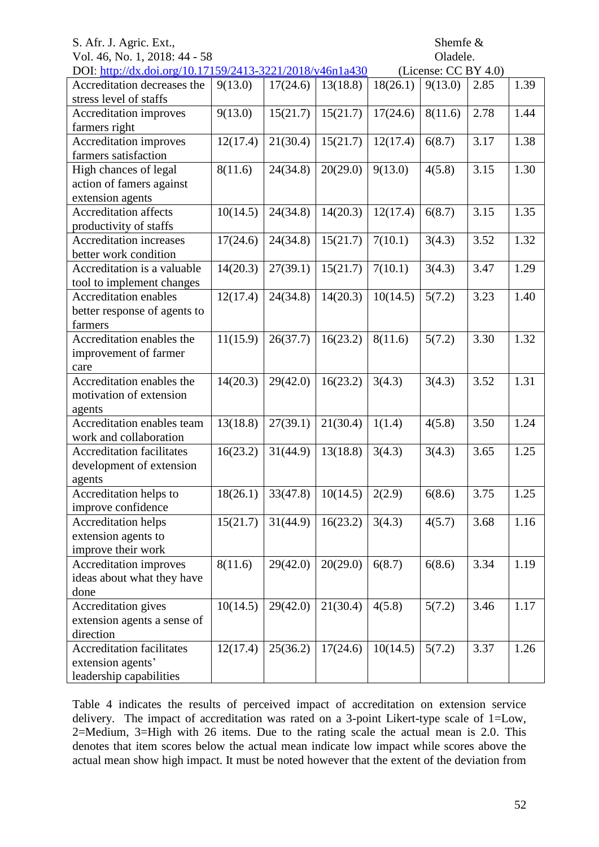# Vol. 46, No. 1, 2018: 44 - 58 Oladele.

| DOI: http://dx.doi.org/10.17159/2413-3221/2018/v46n1a430<br>(License: $CC BY 4.0$ ) |          |          |          |          |         |      |      |
|-------------------------------------------------------------------------------------|----------|----------|----------|----------|---------|------|------|
| Accreditation decreases the                                                         | 9(13.0)  | 17(24.6) | 13(18.8) | 18(26.1) | 9(13.0) | 2.85 | 1.39 |
| stress level of staffs                                                              |          |          |          |          |         |      |      |
| Accreditation improves                                                              | 9(13.0)  | 15(21.7) | 15(21.7) | 17(24.6) | 8(11.6) | 2.78 | 1.44 |
| farmers right                                                                       |          |          |          |          |         |      |      |
| Accreditation improves                                                              | 12(17.4) | 21(30.4) | 15(21.7) | 12(17.4) | 6(8.7)  | 3.17 | 1.38 |
| farmers satisfaction                                                                |          |          |          |          |         |      |      |
| High chances of legal                                                               | 8(11.6)  | 24(34.8) | 20(29.0) | 9(13.0)  | 4(5.8)  | 3.15 | 1.30 |
| action of famers against                                                            |          |          |          |          |         |      |      |
| extension agents                                                                    |          |          |          |          |         |      |      |
| <b>Accreditation affects</b>                                                        | 10(14.5) | 24(34.8) | 14(20.3) | 12(17.4) | 6(8.7)  | 3.15 | 1.35 |
| productivity of staffs                                                              |          |          |          |          |         |      |      |
| Accreditation increases                                                             | 17(24.6) | 24(34.8) | 15(21.7) | 7(10.1)  | 3(4.3)  | 3.52 | 1.32 |
| better work condition                                                               |          |          |          |          |         |      |      |
| Accreditation is a valuable                                                         | 14(20.3) | 27(39.1) | 15(21.7) | 7(10.1)  | 3(4.3)  | 3.47 | 1.29 |
| tool to implement changes                                                           |          |          |          |          |         |      |      |
| Accreditation enables                                                               | 12(17.4) | 24(34.8) | 14(20.3) | 10(14.5) | 5(7.2)  | 3.23 | 1.40 |
| better response of agents to                                                        |          |          |          |          |         |      |      |
| farmers                                                                             |          |          |          |          |         |      |      |
| Accreditation enables the                                                           | 11(15.9) | 26(37.7) | 16(23.2) | 8(11.6)  | 5(7.2)  | 3.30 | 1.32 |
| improvement of farmer                                                               |          |          |          |          |         |      |      |
| care                                                                                |          |          |          |          |         |      |      |
| Accreditation enables the                                                           | 14(20.3) | 29(42.0) | 16(23.2) | 3(4.3)   | 3(4.3)  | 3.52 | 1.31 |
| motivation of extension                                                             |          |          |          |          |         |      |      |
| agents                                                                              |          |          |          |          |         |      |      |
| Accreditation enables team                                                          | 13(18.8) | 27(39.1) | 21(30.4) | 1(1.4)   | 4(5.8)  | 3.50 | 1.24 |
| work and collaboration                                                              |          |          |          |          |         |      |      |
| <b>Accreditation facilitates</b>                                                    | 16(23.2) | 31(44.9) | 13(18.8) | 3(4.3)   | 3(4.3)  | 3.65 | 1.25 |
| development of extension                                                            |          |          |          |          |         |      |      |
| agents                                                                              |          |          |          |          |         |      |      |
| Accreditation helps to                                                              | 18(26.1) | 33(47.8) | 10(14.5) | 2(2.9)   | 6(8.6)  | 3.75 | 1.25 |
| improve confidence                                                                  |          |          |          |          |         |      |      |
| <b>Accreditation helps</b>                                                          | 15(21.7) | 31(44.9) | 16(23.2) | 3(4.3)   | 4(5.7)  | 3.68 | 1.16 |
| extension agents to                                                                 |          |          |          |          |         |      |      |
| improve their work                                                                  |          |          |          |          |         |      |      |
|                                                                                     | 8(11.6)  | 29(42.0) |          |          |         | 3.34 |      |
| Accreditation improves                                                              |          |          | 20(29.0) | 6(8.7)   | 6(8.6)  |      | 1.19 |
| ideas about what they have                                                          |          |          |          |          |         |      |      |
| done                                                                                |          |          |          |          |         |      |      |
| Accreditation gives                                                                 | 10(14.5) | 29(42.0) | 21(30.4) | 4(5.8)   | 5(7.2)  | 3.46 | 1.17 |
| extension agents a sense of                                                         |          |          |          |          |         |      |      |
| direction                                                                           |          |          |          |          |         |      |      |
| <b>Accreditation facilitates</b>                                                    | 12(17.4) | 25(36.2) | 17(24.6) | 10(14.5) | 5(7.2)  | 3.37 | 1.26 |
| extension agents'                                                                   |          |          |          |          |         |      |      |
| leadership capabilities                                                             |          |          |          |          |         |      |      |

Table 4 indicates the results of perceived impact of accreditation on extension service delivery. The impact of accreditation was rated on a 3-point Likert-type scale of 1=Low, 2=Medium, 3=High with 26 items. Due to the rating scale the actual mean is 2.0. This denotes that item scores below the actual mean indicate low impact while scores above the actual mean show high impact. It must be noted however that the extent of the deviation from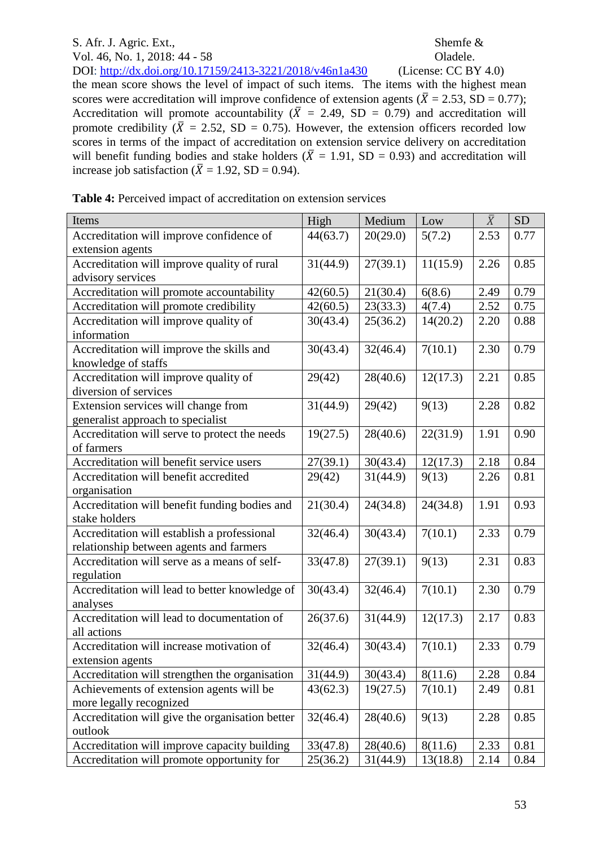Vol. 46, No. 1, 2018: 44 - 58 Oladele. DOI:<http://dx.doi.org/10.17159/2413-3221/2018/v46n1a430> (License: CC BY 4.0) the mean score shows the level of impact of such items. The items with the highest mean scores were accreditation will improve confidence of extension agents ( $\overline{X} = 2.53$ , SD = 0.77); Accreditation will promote accountability ( $\overline{X}$  = 2.49, SD = 0.79) and accreditation will promote credibility  $(\bar{X} = 2.52, SD = 0.75)$ . However, the extension officers recorded low scores in terms of the impact of accreditation on extension service delivery on accreditation will benefit funding bodies and stake holders ( $\overline{X} = 1.91$ , SD = 0.93) and accreditation will increase job satisfaction ( $\bar{X} = 1.92$ , SD = 0.94).

|  |  |  | Table 4: Perceived impact of accreditation on extension services |  |  |
|--|--|--|------------------------------------------------------------------|--|--|
|  |  |  |                                                                  |  |  |

| Items                                           | High     | Medium   | Low      | $\bar{X}$ | <b>SD</b> |
|-------------------------------------------------|----------|----------|----------|-----------|-----------|
| Accreditation will improve confidence of        | 44(63.7) | 20(29.0) | 5(7.2)   | 2.53      | 0.77      |
| extension agents                                |          |          |          |           |           |
| Accreditation will improve quality of rural     | 31(44.9) | 27(39.1) | 11(15.9) | 2.26      | 0.85      |
| advisory services                               |          |          |          |           |           |
| Accreditation will promote accountability       | 42(60.5) | 21(30.4) | 6(8.6)   | 2.49      | 0.79      |
| Accreditation will promote credibility          | 42(60.5) | 23(33.3) | 4(7.4)   | 2.52      | 0.75      |
| Accreditation will improve quality of           | 30(43.4) | 25(36.2) | 14(20.2) | 2.20      | 0.88      |
| information                                     |          |          |          |           |           |
| Accreditation will improve the skills and       | 30(43.4) | 32(46.4) | 7(10.1)  | 2.30      | 0.79      |
| knowledge of staffs                             |          |          |          |           |           |
| Accreditation will improve quality of           | 29(42)   | 28(40.6) | 12(17.3) | 2.21      | 0.85      |
| diversion of services                           |          |          |          |           |           |
| Extension services will change from             | 31(44.9) | 29(42)   | 9(13)    | 2.28      | 0.82      |
| generalist approach to specialist               |          |          |          |           |           |
| Accreditation will serve to protect the needs   | 19(27.5) | 28(40.6) | 22(31.9) | 1.91      | 0.90      |
| of farmers                                      |          |          |          |           |           |
| Accreditation will benefit service users        | 27(39.1) | 30(43.4) | 12(17.3) | 2.18      | 0.84      |
| Accreditation will benefit accredited           | 29(42)   | 31(44.9) | 9(13)    | 2.26      | 0.81      |
| organisation                                    |          |          |          |           |           |
| Accreditation will benefit funding bodies and   | 21(30.4) | 24(34.8) | 24(34.8) | 1.91      | 0.93      |
| stake holders                                   |          |          |          |           |           |
| Accreditation will establish a professional     | 32(46.4) | 30(43.4) | 7(10.1)  | 2.33      | 0.79      |
| relationship between agents and farmers         |          |          |          |           |           |
| Accreditation will serve as a means of self-    | 33(47.8) | 27(39.1) | 9(13)    | 2.31      | 0.83      |
| regulation                                      |          |          |          |           |           |
| Accreditation will lead to better knowledge of  | 30(43.4) | 32(46.4) | 7(10.1)  | 2.30      | 0.79      |
| analyses                                        |          |          |          |           |           |
| Accreditation will lead to documentation of     | 26(37.6) | 31(44.9) | 12(17.3) | 2.17      | 0.83      |
| all actions                                     |          |          |          |           |           |
| Accreditation will increase motivation of       | 32(46.4) | 30(43.4) | 7(10.1)  | 2.33      | 0.79      |
| extension agents                                |          |          |          |           |           |
| Accreditation will strengthen the organisation  | 31(44.9) | 30(43.4) | 8(11.6)  | 2.28      | 0.84      |
| Achievements of extension agents will be        | 43(62.3) | 19(27.5) | 7(10.1)  | 2.49      | 0.81      |
| more legally recognized                         |          |          |          |           |           |
| Accreditation will give the organisation better | 32(46.4) | 28(40.6) | 9(13)    | 2.28      | 0.85      |
| outlook                                         |          |          |          |           |           |
| Accreditation will improve capacity building    | 33(47.8) | 28(40.6) | 8(11.6)  | 2.33      | 0.81      |
| Accreditation will promote opportunity for      | 25(36.2) | 31(44.9) | 13(18.8) | 2.14      | 0.84      |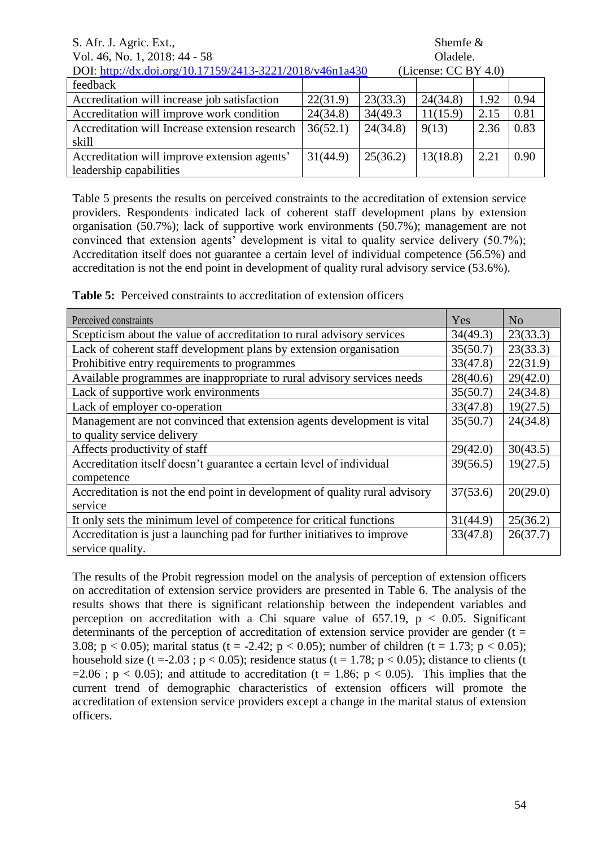| S. Afr. J. Agric. Ext.,<br>Shemfe $\&$                                              |          |          |          |      |      |
|-------------------------------------------------------------------------------------|----------|----------|----------|------|------|
| Vol. 46, No. 1, 2018: 44 - 58                                                       |          |          | Oladele. |      |      |
| DOI: http://dx.doi.org/10.17159/2413-3221/2018/v46n1a430<br>(License: $CC BY 4.0$ ) |          |          |          |      |      |
| feedback                                                                            |          |          |          |      |      |
| Accreditation will increase job satisfaction                                        | 22(31.9) | 23(33.3) | 24(34.8) | 1.92 | 0.94 |
| Accreditation will improve work condition                                           | 24(34.8) | 34(49.3) | 11(15.9) | 2.15 | 0.81 |
| Accreditation will Increase extension research                                      | 36(52.1) | 24(34.8) | 9(13)    | 2.36 | 0.83 |
| skill                                                                               |          |          |          |      |      |
| Accreditation will improve extension agents'                                        | 31(44.9) | 25(36.2) | 13(18.8) | 2.21 | 0.90 |
| leadership capabilities                                                             |          |          |          |      |      |

Table 5 presents the results on perceived constraints to the accreditation of extension service providers. Respondents indicated lack of coherent staff development plans by extension organisation (50.7%); lack of supportive work environments (50.7%); management are not convinced that extension agents' development is vital to quality service delivery (50.7%); Accreditation itself does not guarantee a certain level of individual competence (56.5%) and accreditation is not the end point in development of quality rural advisory service (53.6%).

**Table 5:** Perceived constraints to accreditation of extension officers

| Perceived constraints                                                       | Yes      | N <sub>0</sub> |
|-----------------------------------------------------------------------------|----------|----------------|
| Scepticism about the value of accreditation to rural advisory services      | 34(49.3) | 23(33.3)       |
| Lack of coherent staff development plans by extension organisation          | 35(50.7) | 23(33.3)       |
| Prohibitive entry requirements to programmes                                | 33(47.8) | 22(31.9)       |
| Available programmes are inappropriate to rural advisory services needs     | 28(40.6) | 29(42.0)       |
| Lack of supportive work environments                                        | 35(50.7) | 24(34.8)       |
| Lack of employer co-operation                                               | 33(47.8) | 19(27.5)       |
| Management are not convinced that extension agents development is vital     | 35(50.7) | 24(34.8)       |
| to quality service delivery                                                 |          |                |
| Affects productivity of staff                                               | 29(42.0) | 30(43.5)       |
| Accreditation itself doesn't guarantee a certain level of individual        | 39(56.5) | 19(27.5)       |
| competence                                                                  |          |                |
| Accreditation is not the end point in development of quality rural advisory | 37(53.6) | 20(29.0)       |
| service                                                                     |          |                |
| It only sets the minimum level of competence for critical functions         | 31(44.9) | 25(36.2)       |
| Accreditation is just a launching pad for further initiatives to improve    | 33(47.8) | 26(37.7)       |
| service quality.                                                            |          |                |

The results of the Probit regression model on the analysis of perception of extension officers on accreditation of extension service providers are presented in Table 6. The analysis of the results shows that there is significant relationship between the independent variables and perception on accreditation with a Chi square value of  $657.19$ ,  $p < 0.05$ . Significant determinants of the perception of accreditation of extension service provider are gender ( $t =$ 3.08; p < 0.05); marital status (t = -2.42; p < 0.05); number of children (t = 1.73; p < 0.05); household size (t = -2.03; p < 0.05); residence status (t = 1.78; p < 0.05); distance to clients (t =2.06 ;  $p < 0.05$ ); and attitude to accreditation (t = 1.86;  $p < 0.05$ ). This implies that the current trend of demographic characteristics of extension officers will promote the accreditation of extension service providers except a change in the marital status of extension officers.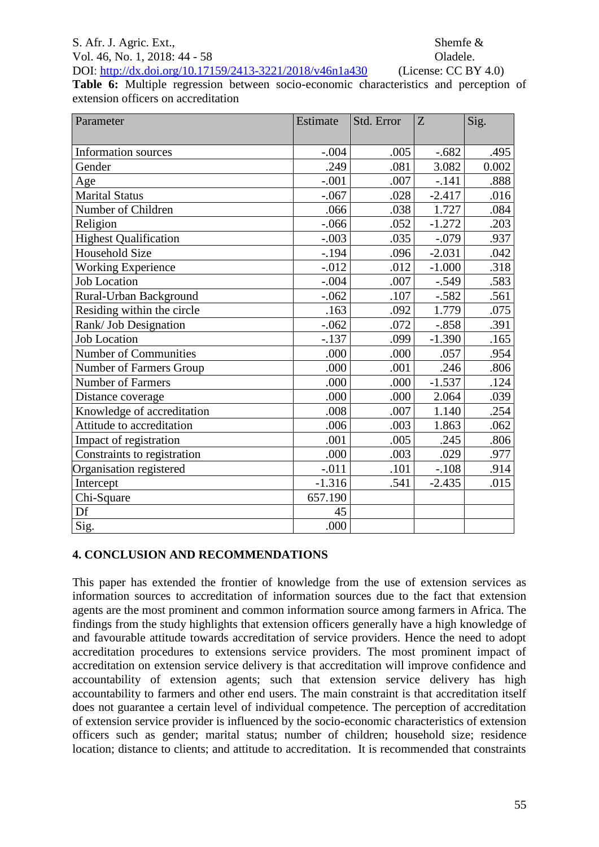Vol. 46, No. 1, 2018: 44 - 58 Oladele. DOI:<http://dx.doi.org/10.17159/2413-3221/2018/v46n1a430> (License: CC BY 4.0)

**Table 6:** Multiple regression between socio-economic characteristics and perception of extension officers on accreditation

| Parameter                    | Estimate | Std. Error | Z        | Sig.  |
|------------------------------|----------|------------|----------|-------|
|                              |          |            |          |       |
| <b>Information sources</b>   | $-.004$  | .005       | $-.682$  | .495  |
| Gender                       | .249     | .081       | 3.082    | 0.002 |
| Age                          | $-.001$  | .007       | $-.141$  | .888  |
| <b>Marital Status</b>        | $-.067$  | .028       | $-2.417$ | .016  |
| Number of Children           | .066     | .038       | 1.727    | .084  |
| Religion                     | $-.066$  | .052       | $-1.272$ | .203  |
| <b>Highest Qualification</b> | $-.003$  | .035       | $-.079$  | .937  |
| Household Size               | $-.194$  | .096       | $-2.031$ | .042  |
| <b>Working Experience</b>    | $-0.012$ | .012       | $-1.000$ | .318  |
| <b>Job Location</b>          | $-.004$  | .007       | $-.549$  | .583  |
| Rural-Urban Background       | $-.062$  | .107       | $-.582$  | .561  |
| Residing within the circle   | .163     | .092       | 1.779    | .075  |
| Rank/ Job Designation        | $-.062$  | .072       | $-.858$  | .391  |
| <b>Job Location</b>          | $-.137$  | .099       | $-1.390$ | .165  |
| Number of Communities        | .000     | .000       | .057     | .954  |
| Number of Farmers Group      | .000     | .001       | .246     | .806  |
| Number of Farmers            | .000     | .000       | $-1.537$ | .124  |
| Distance coverage            | .000     | .000       | 2.064    | .039  |
| Knowledge of accreditation   | .008     | .007       | 1.140    | .254  |
| Attitude to accreditation    | .006     | .003       | 1.863    | .062  |
| Impact of registration       | .001     | .005       | .245     | .806  |
| Constraints to registration  | .000     | .003       | .029     | .977  |
| Organisation registered      | $-0.011$ | .101       | $-.108$  | .914  |
| Intercept                    | $-1.316$ | .541       | $-2.435$ | .015  |
| Chi-Square                   | 657.190  |            |          |       |
| Df                           | 45       |            |          |       |
| Sig.                         | .000     |            |          |       |

## **4. CONCLUSION AND RECOMMENDATIONS**

This paper has extended the frontier of knowledge from the use of extension services as information sources to accreditation of information sources due to the fact that extension agents are the most prominent and common information source among farmers in Africa. The findings from the study highlights that extension officers generally have a high knowledge of and favourable attitude towards accreditation of service providers. Hence the need to adopt accreditation procedures to extensions service providers. The most prominent impact of accreditation on extension service delivery is that accreditation will improve confidence and accountability of extension agents; such that extension service delivery has high accountability to farmers and other end users. The main constraint is that accreditation itself does not guarantee a certain level of individual competence. The perception of accreditation of extension service provider is influenced by the socio-economic characteristics of extension officers such as gender; marital status; number of children; household size; residence location; distance to clients; and attitude to accreditation. It is recommended that constraints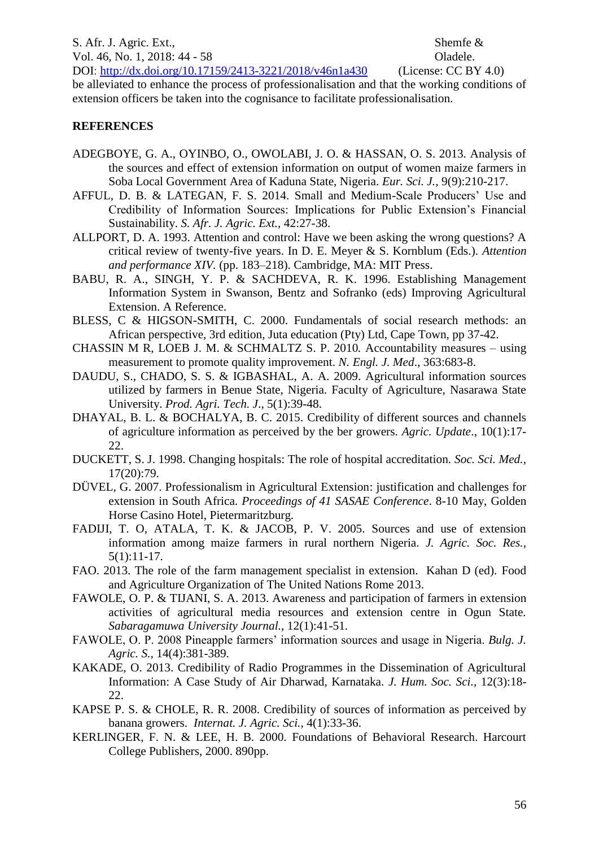S. Afr. J. Agric. Ext., Shemfe & Vol. 46, No. 1, 2018: 44 - 58 Oladele. DOI:<http://dx.doi.org/10.17159/2413-3221/2018/v46n1a430> (License: CC BY 4.0)

be alleviated to enhance the process of professionalisation and that the working conditions of extension officers be taken into the cognisance to facilitate professionalisation.

### **REFERENCES**

- ADEGBOYE, G. A., OYINBO, O., OWOLABI, J. O. & HASSAN, O. S. 2013. Analysis of the sources and effect of extension information on output of women maize farmers in Soba Local Government Area of Kaduna State, Nigeria. *Eur. Sci. J.,* 9(9):210-217.
- AFFUL, D. B. & LATEGAN, F. S. 2014. Small and Medium-Scale Producers' Use and Credibility of Information Sources: Implications for Public Extension's Financial Sustainability. *S. Afr. J. Agric. Ext.,* 42:27-38.
- ALLPORT, D. A. 1993. Attention and control: Have we been asking the wrong questions? A critical review of twenty-five years. In D. E. Meyer & S. Kornblum (Eds.). *Attention and performance XIV.* (pp. 183–218). Cambridge, MA: MIT Press.
- BABU, R. A., SINGH, Y. P. & SACHDEVA, R. K. 1996. Establishing Management Information System in Swanson, Bentz and Sofranko (eds) Improving Agricultural Extension. A Reference.
- BLESS, C & HIGSON-SMITH, C. 2000. Fundamentals of social research methods: an African perspective, 3rd edition, Juta education (Pty) Ltd, Cape Town, pp 37-42.
- CHASSIN M R, LOEB J. M. & SCHMALTZ S. P. 2010*.* Accountability measures using measurement to promote quality improvement. *N. Engl. J. Med*., 363:683-8.
- DAUDU, S., CHADO, S. S. & IGBASHAL, A. A. 2009. Agricultural information sources utilized by farmers in Benue State, Nigeria. Faculty of Agriculture, Nasarawa State University. *Prod. Agri. Tech. J*., 5(1):39-48.
- DHAYAL, B. L. & BOCHALYA, B. C. 2015. Credibility of different sources and channels of agriculture information as perceived by the ber growers. *Agric. Update*., 10(1):17- 22.
- DUCKETT, S. J. 1998. Changing hospitals: The role of hospital accreditation. *Soc. Sci. Med.,* 17(20):79.
- DÜVEL, G. 2007. Professionalism in Agricultural Extension: justification and challenges for extension in South Africa. *Proceedings of 41 SASAE Conference*. 8-10 May, Golden Horse Casino Hotel, Pietermaritzburg.
- FADIJI, T. O, ATALA, T. K. & JACOB, P. V. 2005. Sources and use of extension information among maize farmers in rural northern Nigeria. *J. Agric. Soc. Res.,* 5(1):11-17.
- FAO. 2013. The role of the farm management specialist in extension. Kahan D (ed). Food and Agriculture Organization of The United Nations Rome 2013.
- FAWOLE, O. P. & TIJANI, S. A. 2013. Awareness and participation of farmers in extension activities of agricultural media resources and extension centre in Ogun State. *Sabaragamuwa University Journal.,* 12(1):41-51.
- FAWOLE, O. P. 2008 Pineapple farmers' information sources and usage in Nigeria. *Bulg. J. Agric. S.,* 14(4):381-389.
- KAKADE, O. 2013. Credibility of Radio Programmes in the Dissemination of Agricultural Information: A Case Study of Air Dharwad, Karnataka. *J. Hum. Soc. Sci.,* 12(3):18- 22.
- KAPSE P. S. & CHOLE, R. R. 2008. Credibility of sources of information as perceived by banana growers. *Internat. J. Agric. Sci.,* 4(1):33-36.
- KERLINGER, F. N. & LEE, H. B. 2000. Foundations of Behavioral Research. Harcourt College Publishers, 2000. 890pp.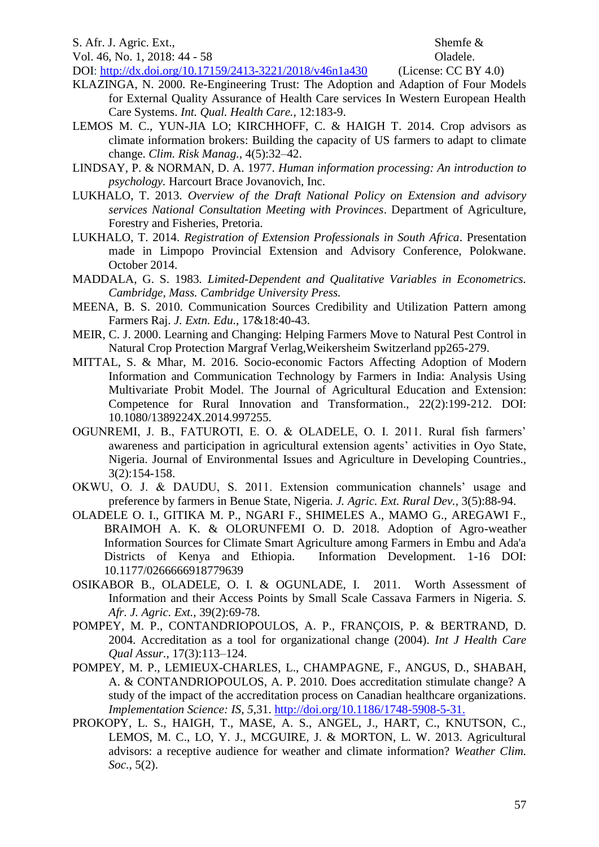DOI:<http://dx.doi.org/10.17159/2413-3221/2018/v46n1a430> (License: CC BY 4.0)

- KLAZINGA, N. 2000. Re-Engineering Trust: The Adoption and Adaption of Four Models for External Quality Assurance of Health Care services In Western European Health Care Systems. *Int. Qual. Health Care.,* 12:183-9.
- LEMOS M. C., YUN-JIA LO; KIRCHHOFF, C. & HAIGH T. 2014. Crop advisors as climate information brokers: Building the capacity of US farmers to adapt to climate change. *Clim. Risk Manag.,* 4(5):32–42.
- LINDSAY, P. & NORMAN, D. A. 1977. *Human information processing: An introduction to psychology.* Harcourt Brace Jovanovich, Inc.
- LUKHALO, T. 2013. *Overview of the Draft National Policy on Extension and advisory services National Consultation Meeting with Provinces*. Department of Agriculture, Forestry and Fisheries, Pretoria.
- LUKHALO, T. 2014. *Registration of Extension Professionals in South Africa*. Presentation made in Limpopo Provincial Extension and Advisory Conference, Polokwane. October 2014.
- MADDALA, G. S. 1983*. Limited-Dependent and Qualitative Variables in Econometrics. Cambridge, Mass. Cambridge University Press.*
- MEENA, B. S. 2010. Communication Sources Credibility and Utilization Pattern among Farmers Raj. *J. Extn. Edu*., 17&18:40-43.
- MEIR, C. J. 2000. Learning and Changing: Helping Farmers Move to Natural Pest Control in Natural Crop Protection Margraf Verlag,Weikersheim Switzerland pp265-279.
- MITTAL, S. & Mhar, M. 2016. Socio-economic Factors Affecting Adoption of Modern Information and Communication Technology by Farmers in India: Analysis Using Multivariate Probit Model. The Journal of Agricultural Education and Extension: Competence for Rural Innovation and Transformation., 22(2):199-212. DOI: 10.1080/1389224X.2014.997255.
- OGUNREMI, J. B., FATUROTI, E. O. & OLADELE, O. I. 2011. Rural fish farmers' awareness and participation in agricultural extension agents' activities in Oyo State, Nigeria. Journal of Environmental Issues and Agriculture in Developing Countries., 3(2):154-158.
- OKWU, O. J. & DAUDU, S. 2011. Extension communication channels' usage and preference by farmers in Benue State, Nigeria. *J. Agric. Ext. Rural Dev.,* 3(5):88-94.
- OLADELE O. I., GITIKA M. P., NGARI F., SHIMELES A., MAMO G., AREGAWI F., BRAIMOH A. K. & OLORUNFEMI O. D. 2018. Adoption of Agro-weather Information Sources for Climate Smart Agriculture among Farmers in Embu and Ada'a Districts of Kenya and Ethiopia. Information Development. 1-16 DOI: 10.1177/0266666918779639
- OSIKABOR B., OLADELE, O. I. & OGUNLADE, I. 2011. Worth Assessment of Information and their Access Points by Small Scale Cassava Farmers in Nigeria. *S. Afr. J. Agric. Ext.,* 39(2):69-78.
- POMPEY, M. P., CONTANDRIOPOULOS, A. P., FRANÇOIS, P. & BERTRAND, D. 2004. Accreditation as a tool for organizational change (2004). *Int J Health Care Qual Assur.,* 17(3):113–124.
- POMPEY, M. P., LEMIEUX-CHARLES, L., CHAMPAGNE, F., ANGUS, D., SHABAH, A. & CONTANDRIOPOULOS, A. P. 2010. Does accreditation stimulate change? A study of the impact of the accreditation process on Canadian healthcare organizations. *Implementation Science: IS*, *5*,31. [http://doi.org/10.1186/1748-5908-5-31.](http://doi.org/10.1186/1748-5908-5-31)
- PROKOPY, L. S., HAIGH, T., MASE, A. S., ANGEL, J., HART, C., KNUTSON, C., LEMOS, M. C., LO, Y. J., MCGUIRE, J. & MORTON, L. W. 2013. Agricultural advisors: a receptive audience for weather and climate information? *Weather Clim. Soc*., 5(2).